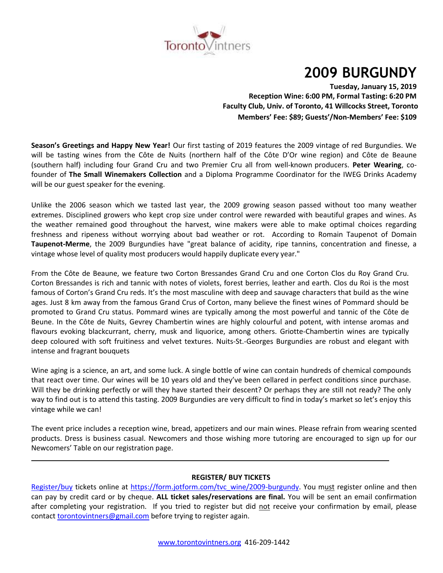

# **2009 BURGUNDY**

**Tuesday, January 15, 2019 Reception Wine: 6:00 PM, Formal Tasting: 6:20 PM Faculty Club, Univ. of Toronto, 41 Willcocks Street, Toronto Members' Fee: \$89; Guests'/Non-Members' Fee: \$109**

**Season's Greetings and Happy New Year!** Our first tasting of 2019 features the 2009 vintage of red Burgundies. We will be tasting wines from the Côte de Nuits (northern half of the Côte D'Or wine region) and Côte de Beaune (southern half) including four Grand Cru and two Premier Cru all from well-known producers. **Peter Wearing**, cofounder of **The Small Winemakers Collection** and a Diploma Programme Coordinator for the IWEG Drinks Academy will be our guest speaker for the evening.

Unlike the 2006 season which we tasted last year, the 2009 growing season passed without too many weather extremes. Disciplined growers who kept crop size under control were rewarded with beautiful grapes and wines. As the weather remained good throughout the harvest, wine makers were able to make optimal choices regarding freshness and ripeness without worrying about bad weather or rot. According to Romain Taupenot of Domain **Taupenot-Merme**, the 2009 Burgundies have "great balance of acidity, ripe tannins, concentration and finesse, a vintage whose level of quality most producers would happily duplicate every year."

From the Côte de Beaune, we feature two Corton Bressandes Grand Cru and one Corton Clos du Roy Grand Cru. Corton Bressandes is rich and tannic with notes of violets, forest berries, leather and earth. Clos du Roi is the most famous of Corton's Grand Cru reds. It's the most masculine with deep and sauvage characters that build as the wine ages. Just 8 km away from the famous Grand Crus of Corton, many believe the finest wines of Pommard should be promoted to Grand Cru status. Pommard wines are typically among the most powerful and tannic of the Côte de Beune. In the Côte de Nuits, Gevrey Chambertin wines are highly colourful and potent, with intense aromas and flavours evoking blackcurrant, cherry, musk and liquorice, among others. Griotte-Chambertin wines are typically deep coloured with soft fruitiness and velvet textures. Nuits-St.-Georges Burgundies are robust and elegant with intense and fragrant bouquets

Wine aging is a science, an art, and some luck. A single bottle of wine can contain hundreds of chemical compounds that react over time. Our wines will be 10 years old and they've been cellared in perfect conditions since purchase. Will they be drinking perfectly or will they have started their descent? Or perhaps they are still not ready? The only way to find out is to attend this tasting. 2009 Burgundies are very difficult to find in today's market so let's enjoy this vintage while we can!

The event price includes a reception wine, bread, appetizers and our main wines. Please refrain from wearing scented products. Dress is business casual. Newcomers and those wishing more tutoring are encouraged to sign up for our Newcomers' Table on our registration page.

# **REGISTER/ BUY TICKETS**

[Register/buy](https://form.jotform.com/tvc_wine/2009-burgundy) tickets online at [https://form.jotform.com/tvc\\_wine/2009-burgundy.](https://form.jotform.com/tvc_wine/2009-burgundy) You must register online and then can pay by credit card or by cheque. **ALL ticket sales/reservations are final.** You will be sent an email confirmation after completing your registration. If you tried to register but did not receive your confirmation by email, please contact [torontovintners@gmail.com](mailto:torontovintners@gmail.com) before trying to register again.